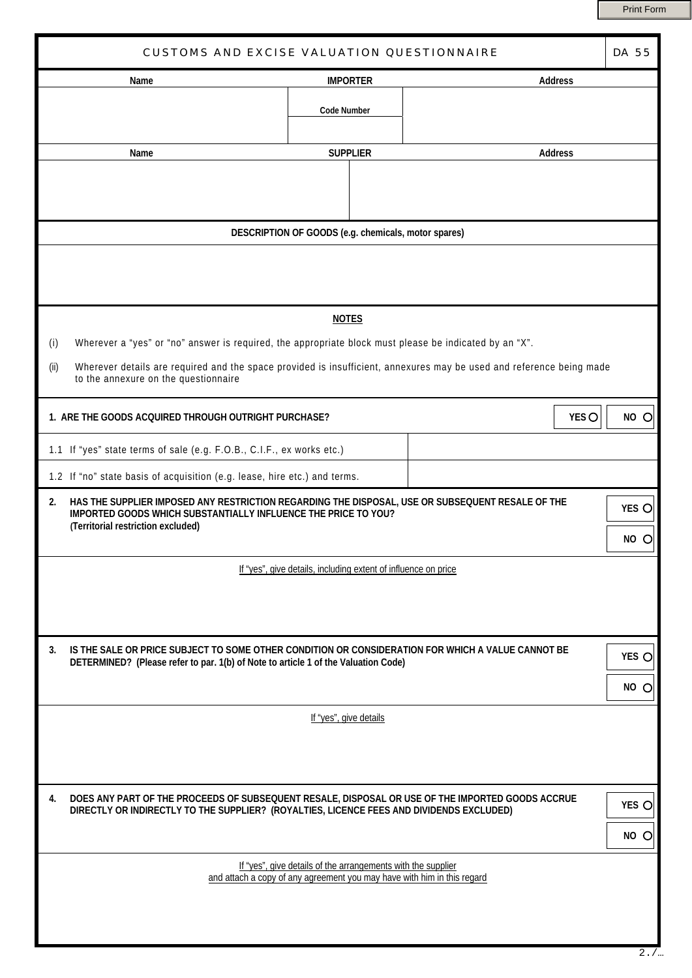Print Form

| <b>CUSTOMS AND EXCISE VALUATION QUESTIONNAIRE</b>                                                                                                                                                              |                                                              |                 |                                                                         |                |                        |  |
|----------------------------------------------------------------------------------------------------------------------------------------------------------------------------------------------------------------|--------------------------------------------------------------|-----------------|-------------------------------------------------------------------------|----------------|------------------------|--|
| Name                                                                                                                                                                                                           | <b>IMPORTER</b>                                              |                 | <b>Address</b>                                                          |                |                        |  |
|                                                                                                                                                                                                                | <b>Code Number</b>                                           |                 |                                                                         |                |                        |  |
| Name                                                                                                                                                                                                           |                                                              | <b>SUPPLIER</b> |                                                                         | <b>Address</b> |                        |  |
|                                                                                                                                                                                                                |                                                              |                 |                                                                         |                |                        |  |
| DESCRIPTION OF GOODS (e.g. chemicals, motor spares)                                                                                                                                                            |                                                              |                 |                                                                         |                |                        |  |
|                                                                                                                                                                                                                |                                                              |                 |                                                                         |                |                        |  |
|                                                                                                                                                                                                                | <b>NOTES</b>                                                 |                 |                                                                         |                |                        |  |
| Wherever a "yes" or "no" answer is required, the appropriate block must please be indicated by an "X".<br>(i)                                                                                                  |                                                              |                 |                                                                         |                |                        |  |
| Wherever details are required and the space provided is insufficient, annexures may be used and reference being made<br>(ii)<br>to the annexure on the questionnaire                                           |                                                              |                 |                                                                         |                |                        |  |
| 1. ARE THE GOODS ACQUIRED THROUGH OUTRIGHT PURCHASE?                                                                                                                                                           |                                                              |                 |                                                                         | YES O          | NO O                   |  |
| 1.1 If "yes" state terms of sale (e.g. F.O.B., C.I.F., ex works etc.)                                                                                                                                          |                                                              |                 |                                                                         |                |                        |  |
| 1.2 If "no" state basis of acquisition (e.g. lease, hire etc.) and terms.                                                                                                                                      |                                                              |                 |                                                                         |                |                        |  |
| HAS THE SUPPLIER IMPOSED ANY RESTRICTION REGARDING THE DISPOSAL, USE OR SUBSEQUENT RESALE OF THE<br>2.<br>IMPORTED GOODS WHICH SUBSTANTIALLY INFLUENCE THE PRICE TO YOU?<br>(Territorial restriction excluded) |                                                              |                 |                                                                         |                | YES O<br>NO<br>$\circ$ |  |
| If "yes", give details, including extent of influence on price                                                                                                                                                 |                                                              |                 |                                                                         |                |                        |  |
|                                                                                                                                                                                                                |                                                              |                 |                                                                         |                |                        |  |
| IS THE SALE OR PRICE SUBJECT TO SOME OTHER CONDITION OR CONSIDERATION FOR WHICH A VALUE CANNOT BE<br>3.<br>DETERMINED? (Please refer to par. 1(b) of Note to article 1 of the Valuation Code)                  |                                                              |                 |                                                                         |                | YES O                  |  |
|                                                                                                                                                                                                                |                                                              |                 |                                                                         |                | NO<br>C                |  |
| If "yes", give details                                                                                                                                                                                         |                                                              |                 |                                                                         |                |                        |  |
|                                                                                                                                                                                                                |                                                              |                 |                                                                         |                |                        |  |
| DOES ANY PART OF THE PROCEEDS OF SUBSEQUENT RESALE, DISPOSAL OR USE OF THE IMPORTED GOODS ACCRUE<br>4.<br>DIRECTLY OR INDIRECTLY TO THE SUPPLIER? (ROYALTIES, LICENCE FEES AND DIVIDENDS EXCLUDED)             |                                                              |                 |                                                                         |                | YES O                  |  |
|                                                                                                                                                                                                                |                                                              |                 |                                                                         |                | NO O                   |  |
|                                                                                                                                                                                                                | If "yes", give details of the arrangements with the supplier |                 | and attach a copy of any agreement you may have with him in this regard |                |                        |  |
|                                                                                                                                                                                                                |                                                              |                 |                                                                         |                |                        |  |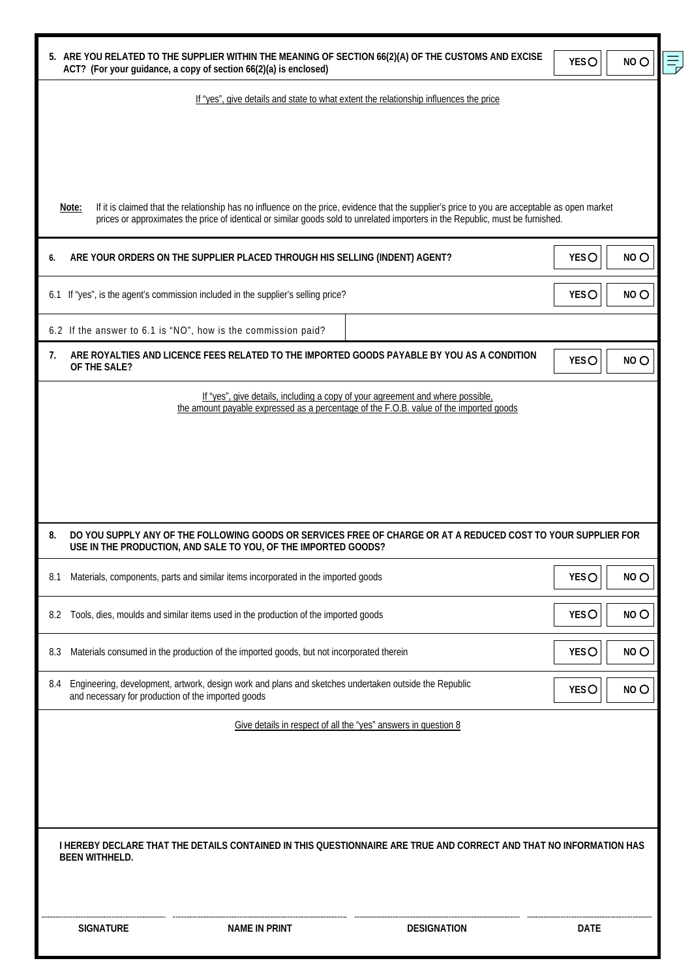| 5. ARE YOU RELATED TO THE SUPPLIER WITHIN THE MEANING OF SECTION 66(2)(A) OF THE CUSTOMS AND EXCISE<br>ACT? (For your guidance, a copy of section 66(2)(a) is enclosed) |                                                                                                       |                                                                                                                                                                                                                                                                                 |             | NO <sub>O</sub> |
|-------------------------------------------------------------------------------------------------------------------------------------------------------------------------|-------------------------------------------------------------------------------------------------------|---------------------------------------------------------------------------------------------------------------------------------------------------------------------------------------------------------------------------------------------------------------------------------|-------------|-----------------|
|                                                                                                                                                                         |                                                                                                       | If "yes", give details and state to what extent the relationship influences the price                                                                                                                                                                                           |             |                 |
|                                                                                                                                                                         |                                                                                                       |                                                                                                                                                                                                                                                                                 |             |                 |
|                                                                                                                                                                         |                                                                                                       |                                                                                                                                                                                                                                                                                 |             |                 |
| Note:                                                                                                                                                                   |                                                                                                       | If it is claimed that the relationship has no influence on the price, evidence that the supplier's price to you are acceptable as open market<br>prices or approximates the price of identical or similar goods sold to unrelated importers in the Republic, must be furnished. |             |                 |
| 6.                                                                                                                                                                      | ARE YOUR ORDERS ON THE SUPPLIER PLACED THROUGH HIS SELLING (INDENT) AGENT?                            |                                                                                                                                                                                                                                                                                 | <b>YESO</b> | NO <sub>O</sub> |
| 6.1 If "yes", is the agent's commission included in the supplier's selling price?                                                                                       |                                                                                                       |                                                                                                                                                                                                                                                                                 |             | NO <sub>O</sub> |
|                                                                                                                                                                         | 6.2 If the answer to 6.1 is "NO", how is the commission paid?                                         |                                                                                                                                                                                                                                                                                 |             |                 |
| 7.<br>OF THE SALE?                                                                                                                                                      |                                                                                                       | ARE ROYALTIES AND LICENCE FEES RELATED TO THE IMPORTED GOODS PAYABLE BY YOU AS A CONDITION                                                                                                                                                                                      | <b>YESO</b> | NO <sub>O</sub> |
|                                                                                                                                                                         |                                                                                                       | If "yes", give details, including a copy of your agreement and where possible, the amount payable expressed as a percentage of the F.O.B. value of the imported goods                                                                                                           |             |                 |
|                                                                                                                                                                         |                                                                                                       |                                                                                                                                                                                                                                                                                 |             |                 |
|                                                                                                                                                                         |                                                                                                       |                                                                                                                                                                                                                                                                                 |             |                 |
|                                                                                                                                                                         |                                                                                                       |                                                                                                                                                                                                                                                                                 |             |                 |
| 8.                                                                                                                                                                      | USE IN THE PRODUCTION, AND SALE TO YOU, OF THE IMPORTED GOODS?                                        | DO YOU SUPPLY ANY OF THE FOLLOWING GOODS OR SERVICES FREE OF CHARGE OR AT A REDUCED COST TO YOUR SUPPLIER FOR                                                                                                                                                                   |             |                 |
| 8.1                                                                                                                                                                     | Materials, components, parts and similar items incorporated in the imported goods                     |                                                                                                                                                                                                                                                                                 | <b>YESO</b> | NO <sub>O</sub> |
| 8.2                                                                                                                                                                     | Tools, dies, moulds and similar items used in the production of the imported goods                    |                                                                                                                                                                                                                                                                                 | <b>YESO</b> | NO <sub>O</sub> |
| 8.3                                                                                                                                                                     | Materials consumed in the production of the imported goods, but not incorporated therein              |                                                                                                                                                                                                                                                                                 | <b>YESO</b> | NO <sub>O</sub> |
| 8.4<br>and necessary for production of the imported goods                                                                                                               | Engineering, development, artwork, design work and plans and sketches undertaken outside the Republic |                                                                                                                                                                                                                                                                                 | <b>YESO</b> | NO <sub>O</sub> |
|                                                                                                                                                                         |                                                                                                       | Give details in respect of all the "yes" answers in question 8                                                                                                                                                                                                                  |             |                 |
|                                                                                                                                                                         |                                                                                                       |                                                                                                                                                                                                                                                                                 |             |                 |
|                                                                                                                                                                         |                                                                                                       |                                                                                                                                                                                                                                                                                 |             |                 |
|                                                                                                                                                                         |                                                                                                       |                                                                                                                                                                                                                                                                                 |             |                 |
| <b>BEEN WITHHELD.</b>                                                                                                                                                   |                                                                                                       | I HEREBY DECLARE THAT THE DETAILS CONTAINED IN THIS QUESTIONNAIRE ARE TRUE AND CORRECT AND THAT NO INFORMATION HAS                                                                                                                                                              |             |                 |
| <b>SIGNATURE</b>                                                                                                                                                        | <b>NAME IN PRINT</b>                                                                                  | <b>DESIGNATION</b>                                                                                                                                                                                                                                                              | <b>DATE</b> |                 |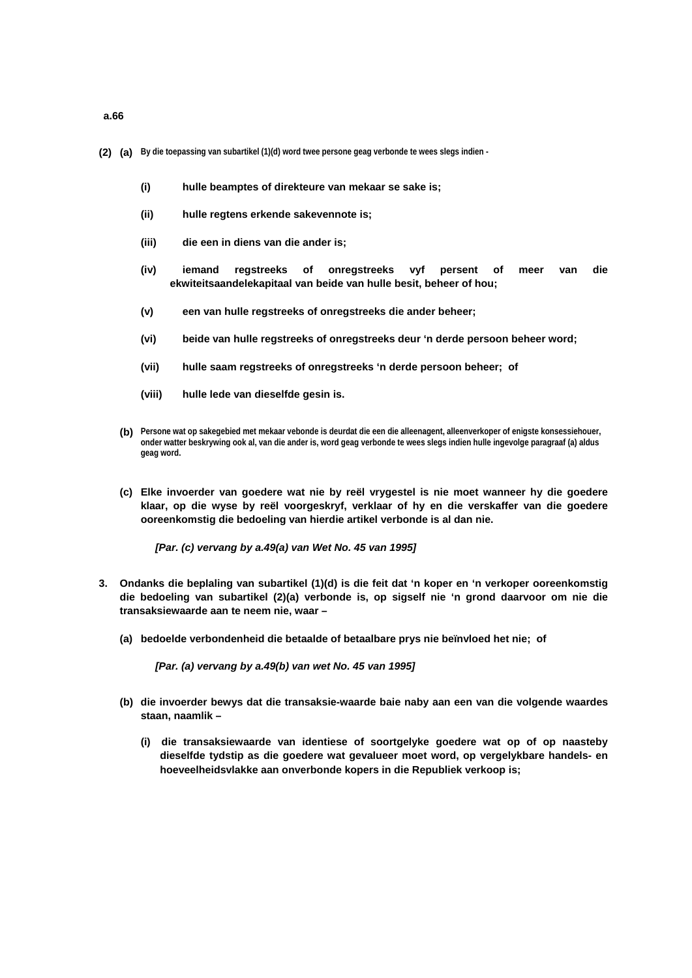- **(2) (a) By die toepassing van subartikel (1)(d) word twee persone geag verbonde te wees slegs indien** 
	- **(i) hulle beamptes of direkteure van mekaar se sake is;**
	- **(ii) hulle regtens erkende sakevennote is;**
	- **(iii) die een in diens van die ander is;**
	- **(iv) iemand regstreeks of onregstreeks vyf persent of meer van die ekwiteitsaandelekapitaal van beide van hulle besit, beheer of hou;**
	- **(v) een van hulle regstreeks of onregstreeks die ander beheer;**
	- **(vi) beide van hulle regstreeks of onregstreeks deur 'n derde persoon beheer word;**
	- **(vii) hulle saam regstreeks of onregstreeks 'n derde persoon beheer; of**
	- **(viii) hulle lede van dieselfde gesin is.**
	- **(b) Persone wat op sakegebied met mekaar vebonde is deurdat die een die alleenagent, alleenverkoper of enigste konsessiehouer, onder watter beskrywing ook al, van die ander is, word geag verbonde te wees slegs indien hulle ingevolge paragraaf (a) aldus geag word.**
	- **(c) Elke invoerder van goedere wat nie by reël vrygestel is nie moet wanneer hy die goedere klaar, op die wyse by reël voorgeskryf, verklaar of hy en die verskaffer van die goedere ooreenkomstig die bedoeling van hierdie artikel verbonde is al dan nie.**

 *[Par. (c) vervang by a.49(a) van Wet No. 45 van 1995]* 

- **3. Ondanks die beplaling van subartikel (1)(d) is die feit dat 'n koper en 'n verkoper ooreenkomstig die bedoeling van subartikel (2)(a) verbonde is, op sigself nie 'n grond daarvoor om nie die transaksiewaarde aan te neem nie, waar –** 
	- **(a) bedoelde verbondenheid die betaalde of betaalbare prys nie beïnvloed het nie; of**

 *[Par. (a) vervang by a.49(b) van wet No. 45 van 1995]*

- **(b) die invoerder bewys dat die transaksie-waarde baie naby aan een van die volgende waardes staan, naamlik –** 
	- **(i) die transaksiewaarde van identiese of soortgelyke goedere wat op of op naasteby dieselfde tydstip as die goedere wat gevalueer moet word, op vergelykbare handels- en hoeveelheidsvlakke aan onverbonde kopers in die Republiek verkoop is;**

**a.66**